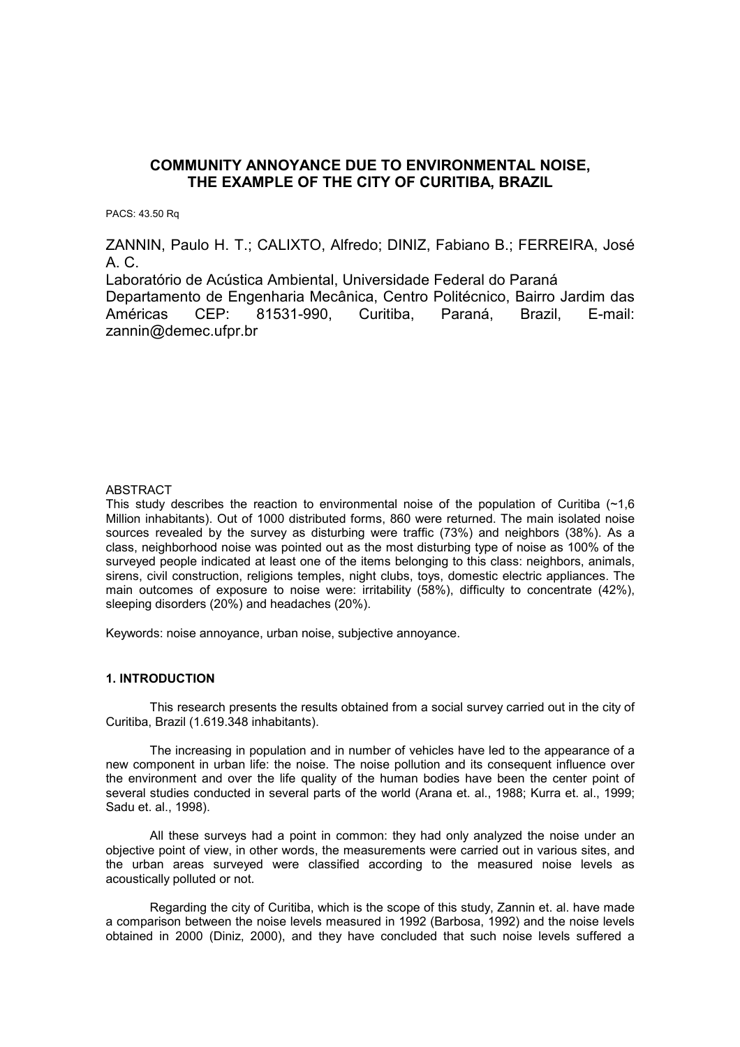# **COMMUNITY ANNOYANCE DUE TO ENVIRONMENTAL NOISE, THE EXAMPLE OF THE CITY OF CURITIBA, BRAZIL**

PACS: 43.50 Rq

ZANNIN, Paulo H. T.; CALIXTO, Alfredo; DINIZ, Fabiano B.; FERREIRA, José A. C.

Laboratório de Acústica Ambiental, Universidade Federal do Paraná Departamento de Engenharia Mecânica, Centro Politécnico, Bairro Jardim das Américas CEP: 81531-990, Curitiba, Paraná, Brazil, E-mail: zannin@demec.ufpr.br

### **ABSTRACT**

This study describes the reaction to environmental noise of the population of Curitiba  $(-1,6)$ Million inhabitants). Out of 1000 distributed forms, 860 were returned. The main isolated noise sources revealed by the survey as disturbing were traffic (73%) and neighbors (38%). As a class, neighborhood noise was pointed out as the most disturbing type of noise as 100% of the surveyed people indicated at least one of the items belonging to this class: neighbors, animals, sirens, civil construction, religions temples, night clubs, toys, domestic electric appliances. The main outcomes of exposure to noise were: irritability (58%), difficulty to concentrate (42%), sleeping disorders (20%) and headaches (20%).

Keywords: noise annoyance, urban noise, subjective annoyance.

## **1. INTRODUCTION**

 This research presents the results obtained from a social survey carried out in the city of Curitiba, Brazil (1.619.348 inhabitants).

 The increasing in population and in number of vehicles have led to the appearance of a new component in urban life: the noise. The noise pollution and its consequent influence over the environment and over the life quality of the human bodies have been the center point of several studies conducted in several parts of the world (Arana et. al., 1988; Kurra et. al., 1999; Sadu et. al., 1998).

 All these surveys had a point in common: they had only analyzed the noise under an objective point of view, in other words, the measurements were carried out in various sites, and the urban areas surveyed were classified according to the measured noise levels as acoustically polluted or not.

 Regarding the city of Curitiba, which is the scope of this study, Zannin et. al. have made a comparison between the noise levels measured in 1992 (Barbosa, 1992) and the noise levels obtained in 2000 (Diniz, 2000), and they have concluded that such noise levels suffered a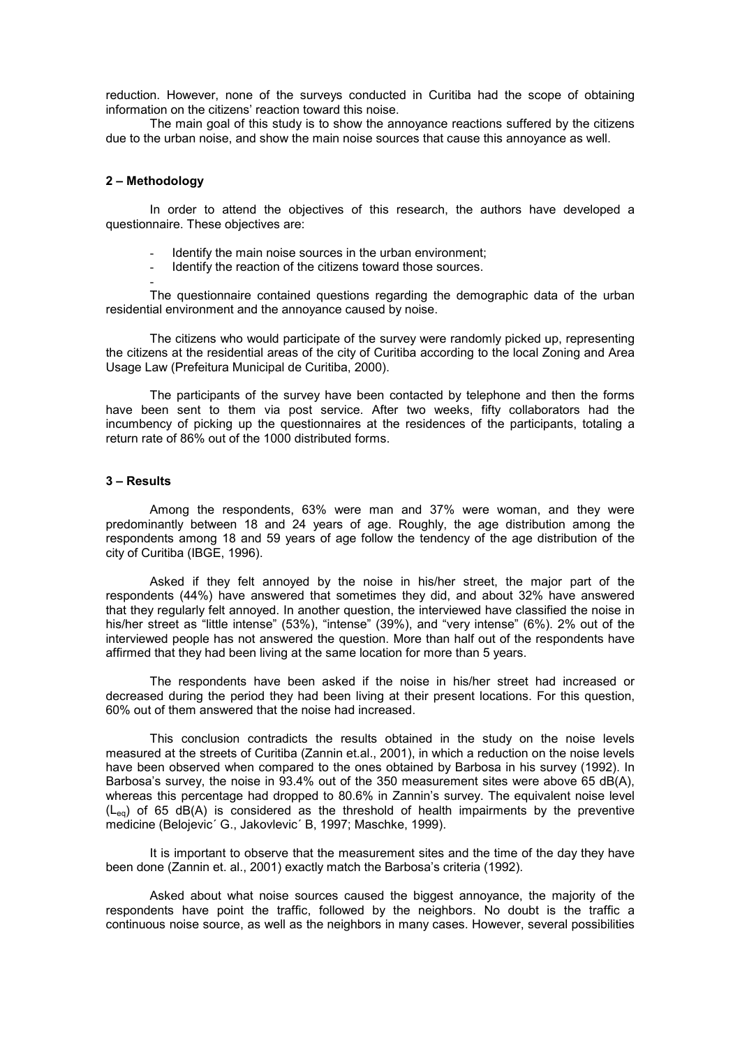reduction. However, none of the surveys conducted in Curitiba had the scope of obtaining information on the citizens' reaction toward this noise.

 The main goal of this study is to show the annoyance reactions suffered by the citizens due to the urban noise, and show the main noise sources that cause this annoyance as well.

#### **2 – Methodology**

-

 In order to attend the objectives of this research, the authors have developed a questionnaire. These objectives are:

- Identify the main noise sources in the urban environment;
- Identify the reaction of the citizens toward those sources.

The questionnaire contained questions regarding the demographic data of the urban residential environment and the annoyance caused by noise.

The citizens who would participate of the survey were randomly picked up, representing the citizens at the residential areas of the city of Curitiba according to the local Zoning and Area Usage Law (Prefeitura Municipal de Curitiba, 2000).

The participants of the survey have been contacted by telephone and then the forms have been sent to them via post service. After two weeks, fifty collaborators had the incumbency of picking up the questionnaires at the residences of the participants, totaling a return rate of 86% out of the 1000 distributed forms.

#### **3 – Results**

 Among the respondents, 63% were man and 37% were woman, and they were predominantly between 18 and 24 years of age. Roughly, the age distribution among the respondents among 18 and 59 years of age follow the tendency of the age distribution of the city of Curitiba (IBGE, 1996).

Asked if they felt annoyed by the noise in his/her street, the major part of the respondents (44%) have answered that sometimes they did, and about 32% have answered that they regularly felt annoyed. In another question, the interviewed have classified the noise in his/her street as "little intense" (53%), "intense" (39%), and "very intense" (6%). 2% out of the interviewed people has not answered the question. More than half out of the respondents have affirmed that they had been living at the same location for more than 5 years.

The respondents have been asked if the noise in his/her street had increased or decreased during the period they had been living at their present locations. For this question, 60% out of them answered that the noise had increased.

This conclusion contradicts the results obtained in the study on the noise levels measured at the streets of Curitiba (Zannin et.al., 2001), in which a reduction on the noise levels have been observed when compared to the ones obtained by Barbosa in his survey (1992). In Barbosa's survey, the noise in 93.4% out of the 350 measurement sites were above 65 dB(A), whereas this percentage had dropped to 80.6% in Zannin's survey. The equivalent noise level  $(L_{eq})$  of 65 dB(A) is considered as the threshold of health impairments by the preventive medicine (Belojevic´ G., Jakovlevic´ B, 1997; Maschke, 1999).

It is important to observe that the measurement sites and the time of the day they have been done (Zannin et. al., 2001) exactly match the Barbosa's criteria (1992).

Asked about what noise sources caused the biggest annoyance, the majority of the respondents have point the traffic, followed by the neighbors. No doubt is the traffic a continuous noise source, as well as the neighbors in many cases. However, several possibilities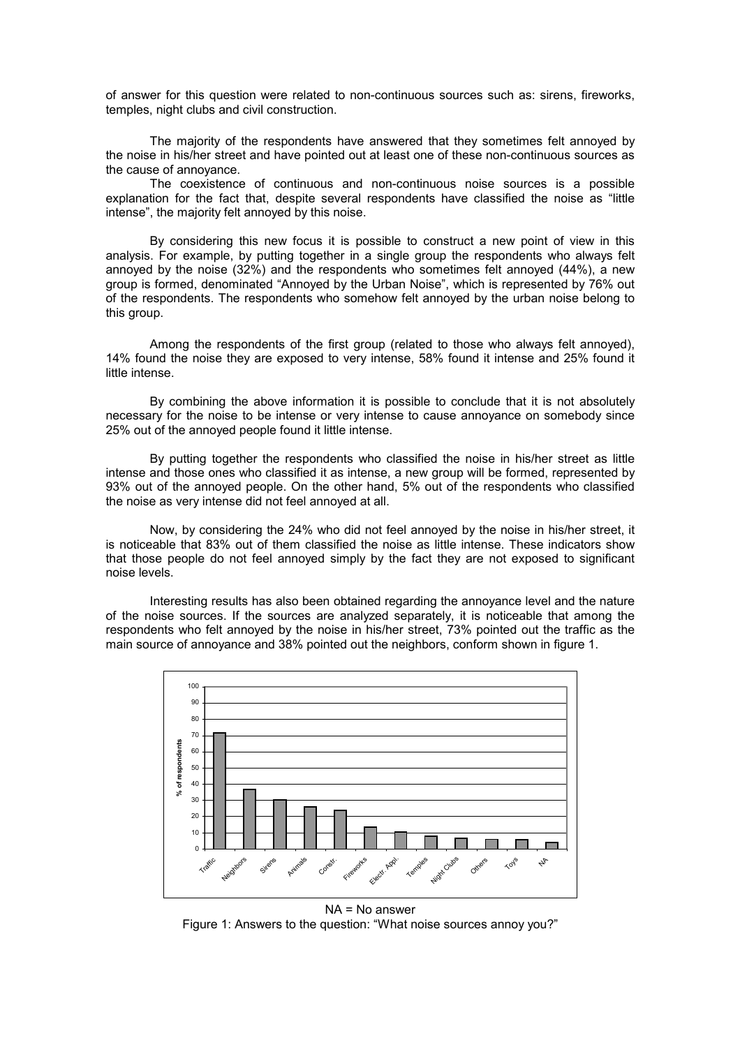of answer for this question were related to non-continuous sources such as: sirens, fireworks, temples, night clubs and civil construction.

 The majority of the respondents have answered that they sometimes felt annoyed by the noise in his/her street and have pointed out at least one of these non-continuous sources as the cause of annoyance.

 The coexistence of continuous and non-continuous noise sources is a possible explanation for the fact that, despite several respondents have classified the noise as "little intense", the majority felt annoyed by this noise.

By considering this new focus it is possible to construct a new point of view in this analysis. For example, by putting together in a single group the respondents who always felt annoyed by the noise (32%) and the respondents who sometimes felt annoyed (44%), a new group is formed, denominated "Annoyed by the Urban Noise", which is represented by 76% out of the respondents. The respondents who somehow felt annoyed by the urban noise belong to this group.

 Among the respondents of the first group (related to those who always felt annoyed), 14% found the noise they are exposed to very intense, 58% found it intense and 25% found it little intense.

 By combining the above information it is possible to conclude that it is not absolutely necessary for the noise to be intense or very intense to cause annoyance on somebody since 25% out of the annoyed people found it little intense.

By putting together the respondents who classified the noise in his/her street as little intense and those ones who classified it as intense, a new group will be formed, represented by 93% out of the annoyed people. On the other hand, 5% out of the respondents who classified the noise as very intense did not feel annoyed at all.

Now, by considering the 24% who did not feel annoyed by the noise in his/her street, it is noticeable that 83% out of them classified the noise as little intense. These indicators show that those people do not feel annoyed simply by the fact they are not exposed to significant noise levels.

Interesting results has also been obtained regarding the annoyance level and the nature of the noise sources. If the sources are analyzed separately, it is noticeable that among the respondents who felt annoyed by the noise in his/her street, 73% pointed out the traffic as the main source of annoyance and 38% pointed out the neighbors, conform shown in figure 1.



NA = No answer Figure 1: Answers to the question: "What noise sources annoy you?"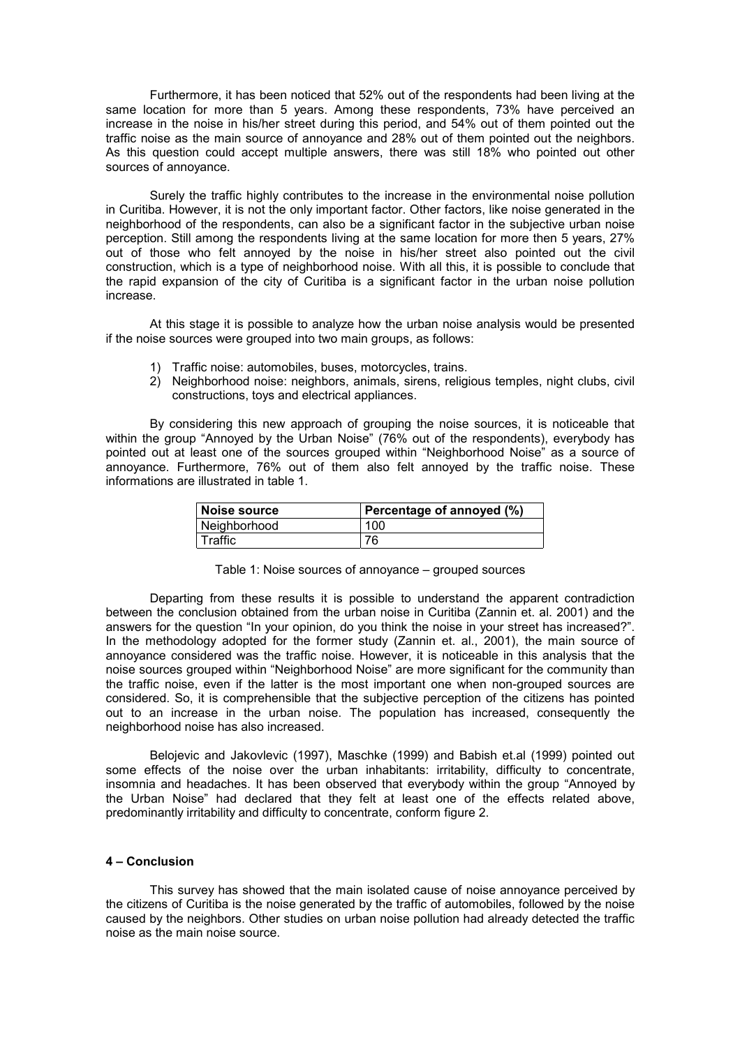Furthermore, it has been noticed that 52% out of the respondents had been living at the same location for more than 5 years. Among these respondents, 73% have perceived an increase in the noise in his/her street during this period, and 54% out of them pointed out the traffic noise as the main source of annoyance and 28% out of them pointed out the neighbors. As this question could accept multiple answers, there was still 18% who pointed out other sources of annoyance.

Surely the traffic highly contributes to the increase in the environmental noise pollution in Curitiba. However, it is not the only important factor. Other factors, like noise generated in the neighborhood of the respondents, can also be a significant factor in the subjective urban noise perception. Still among the respondents living at the same location for more then 5 years, 27% out of those who felt annoyed by the noise in his/her street also pointed out the civil construction, which is a type of neighborhood noise. With all this, it is possible to conclude that the rapid expansion of the city of Curitiba is a significant factor in the urban noise pollution increase.

At this stage it is possible to analyze how the urban noise analysis would be presented if the noise sources were grouped into two main groups, as follows:

- 1) Traffic noise: automobiles, buses, motorcycles, trains.
- 2) Neighborhood noise: neighbors, animals, sirens, religious temples, night clubs, civil constructions, toys and electrical appliances.

By considering this new approach of grouping the noise sources, it is noticeable that within the group "Annoyed by the Urban Noise" (76% out of the respondents), everybody has pointed out at least one of the sources grouped within "Neighborhood Noise" as a source of annoyance. Furthermore, 76% out of them also felt annoyed by the traffic noise. These informations are illustrated in table 1.

| Noise source | Percentage of annoyed (%) |
|--------------|---------------------------|
| Neighborhood | 100                       |
| Traffic      | 76                        |

|  | Table 1: Noise sources of annoyance – grouped sources |  |  |  |
|--|-------------------------------------------------------|--|--|--|
|  |                                                       |  |  |  |

Departing from these results it is possible to understand the apparent contradiction between the conclusion obtained from the urban noise in Curitiba (Zannin et. al. 2001) and the answers for the question "In your opinion, do you think the noise in your street has increased?". In the methodology adopted for the former study (Zannin et. al., 2001), the main source of annoyance considered was the traffic noise. However, it is noticeable in this analysis that the noise sources grouped within "Neighborhood Noise" are more significant for the community than the traffic noise, even if the latter is the most important one when non-grouped sources are considered. So, it is comprehensible that the subjective perception of the citizens has pointed out to an increase in the urban noise. The population has increased, consequently the neighborhood noise has also increased.

Belojevic and Jakovlevic (1997), Maschke (1999) and Babish et.al (1999) pointed out some effects of the noise over the urban inhabitants: irritability, difficulty to concentrate, insomnia and headaches. It has been observed that everybody within the group "Annoyed by the Urban Noise" had declared that they felt at least one of the effects related above, predominantly irritability and difficulty to concentrate, conform figure 2.

## **4 – Conclusion**

This survey has showed that the main isolated cause of noise annoyance perceived by the citizens of Curitiba is the noise generated by the traffic of automobiles, followed by the noise caused by the neighbors. Other studies on urban noise pollution had already detected the traffic noise as the main noise source.